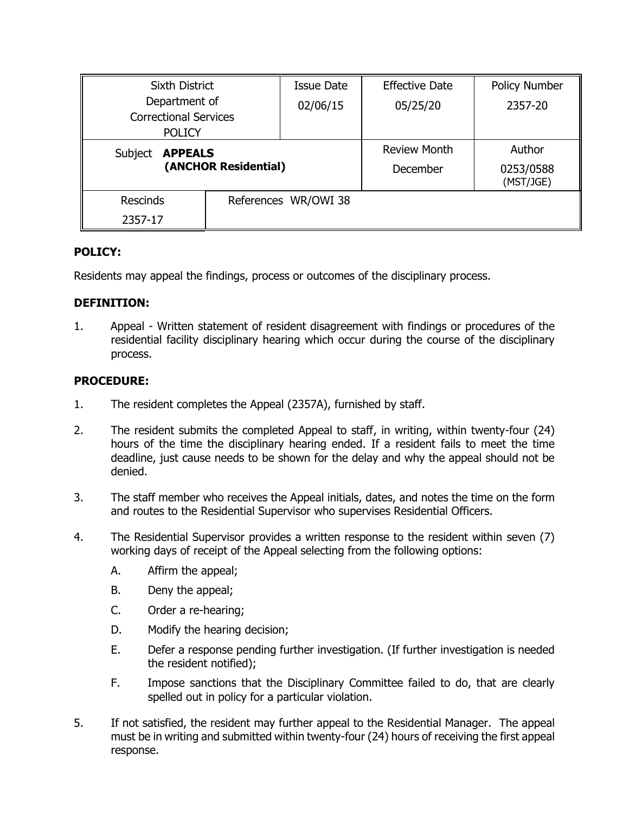| <b>Sixth District</b>                         |  | <b>Issue Date</b>    | <b>Effective Date</b> | Policy Number          |
|-----------------------------------------------|--|----------------------|-----------------------|------------------------|
| Department of                                 |  | 02/06/15             | 05/25/20              | 2357-20                |
| <b>Correctional Services</b><br><b>POLICY</b> |  |                      |                       |                        |
|                                               |  |                      |                       |                        |
| <b>APPEALS</b><br>Subject                     |  |                      | <b>Review Month</b>   | Author                 |
| (ANCHOR Residential)                          |  |                      | December              | 0253/0588<br>(MST/JGE) |
| <b>Rescinds</b>                               |  | References WR/OWI 38 |                       |                        |
| 2357-17                                       |  |                      |                       |                        |

# **POLICY:**

Residents may appeal the findings, process or outcomes of the disciplinary process.

## **DEFINITION:**

1. Appeal - Written statement of resident disagreement with findings or procedures of the residential facility disciplinary hearing which occur during the course of the disciplinary process.

## **PROCEDURE:**

- 1. The resident completes the Appeal (2357A), furnished by staff.
- 2. The resident submits the completed Appeal to staff, in writing, within twenty-four (24) hours of the time the disciplinary hearing ended. If a resident fails to meet the time deadline, just cause needs to be shown for the delay and why the appeal should not be denied.
- 3. The staff member who receives the Appeal initials, dates, and notes the time on the form and routes to the Residential Supervisor who supervises Residential Officers.
- 4. The Residential Supervisor provides a written response to the resident within seven (7) working days of receipt of the Appeal selecting from the following options:
	- A. Affirm the appeal;
	- B. Deny the appeal;
	- C. Order a re-hearing;
	- D. Modify the hearing decision;
	- E. Defer a response pending further investigation. (If further investigation is needed the resident notified);
	- F. Impose sanctions that the Disciplinary Committee failed to do, that are clearly spelled out in policy for a particular violation.
- 5. If not satisfied, the resident may further appeal to the Residential Manager. The appeal must be in writing and submitted within twenty-four (24) hours of receiving the first appeal response.